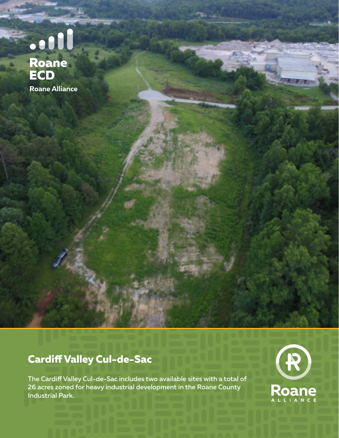# e dil<br>Roane<br>ECD Roane Alliance

### **Cardiff Valley Cul-de-Sac**

The Cardiff Valley Cul-de-Sac includes two available sites with a total of 26 acres zoned for heavy industrial development in the Roane County Industrial Park.